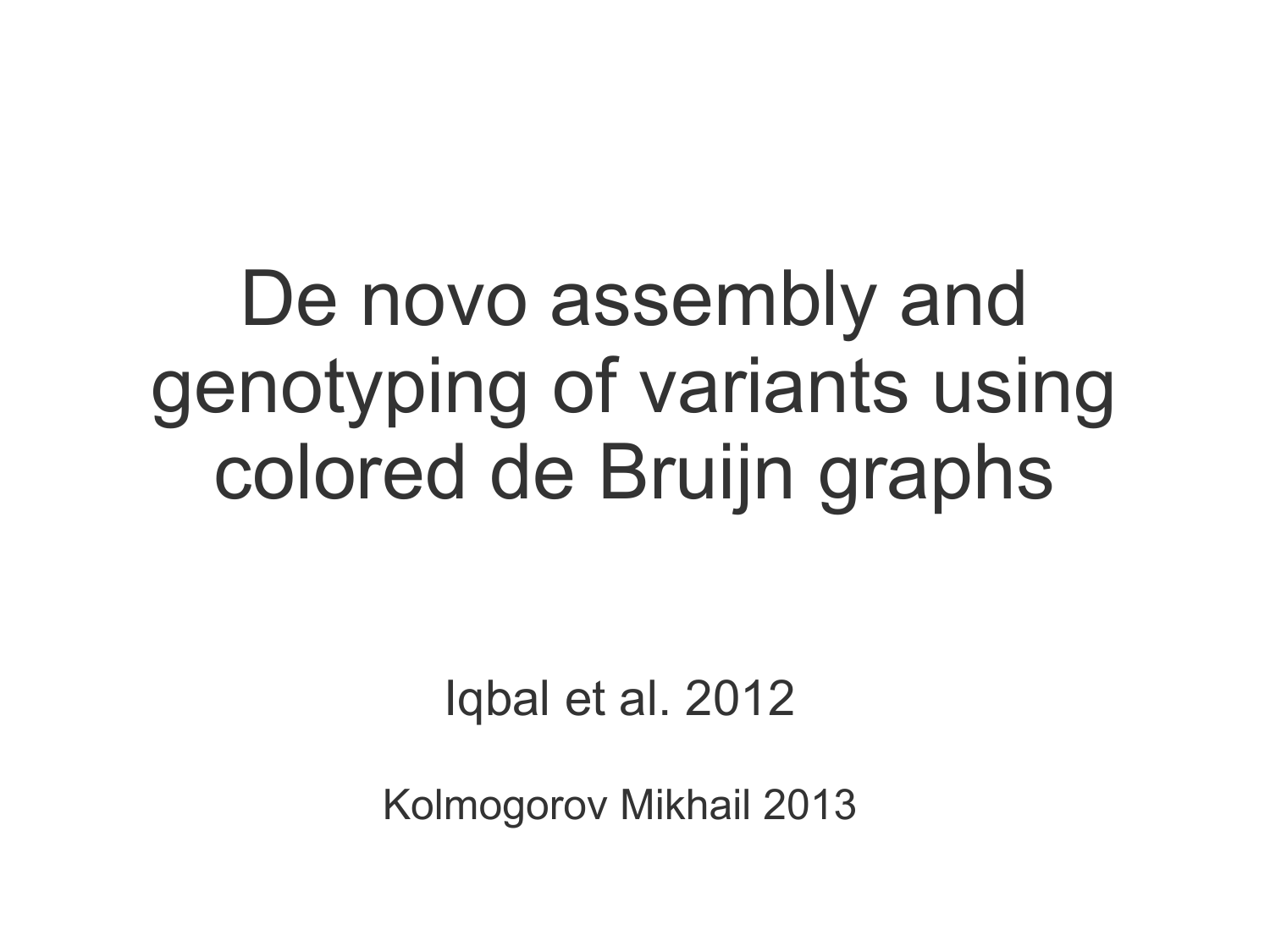De novo assembly and genotyping of variants using colored de Bruijn graphs

Iqbal et al. 2012

Kolmogorov Mikhail 2013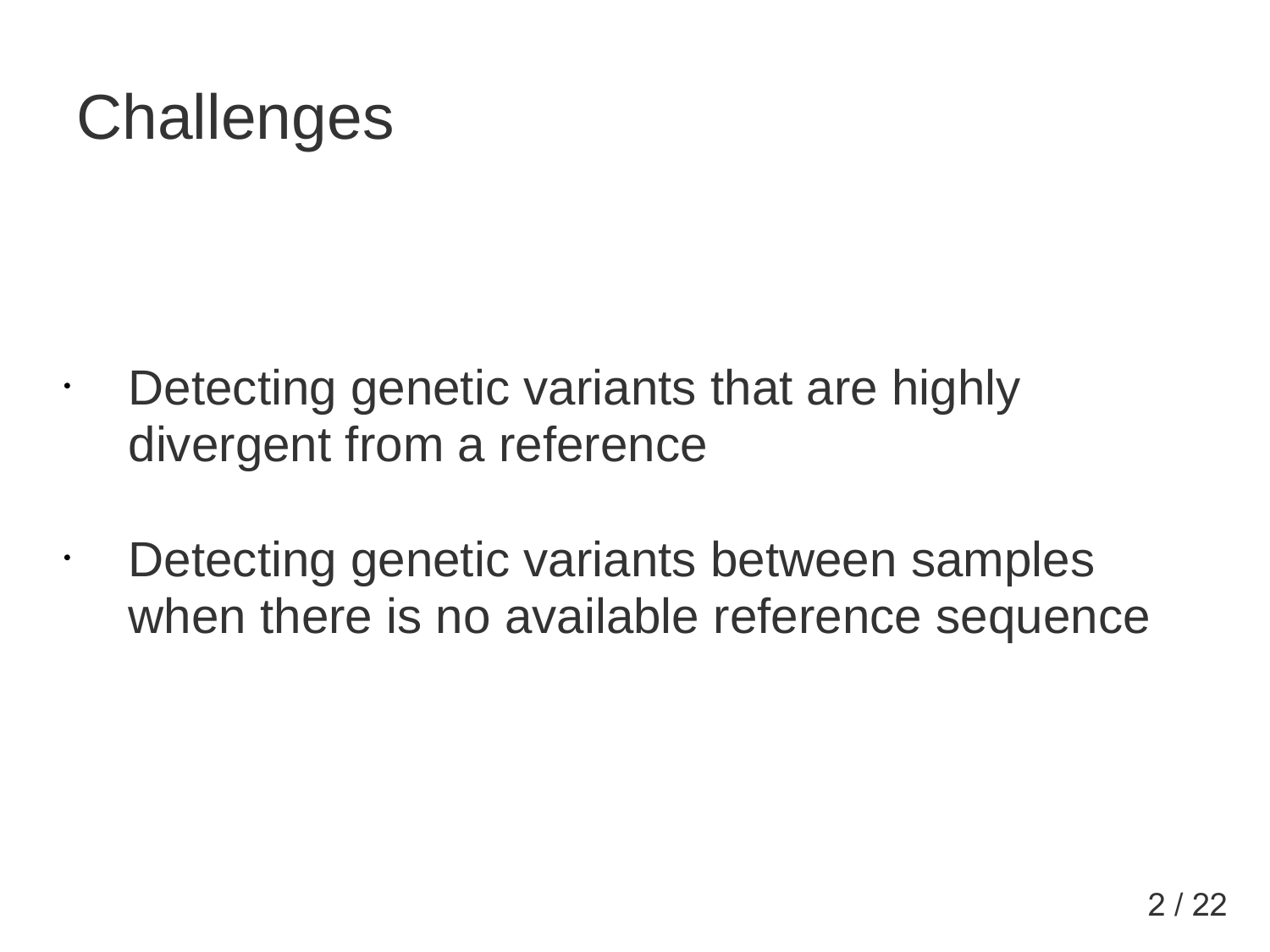### **Challenges**

• Detecting genetic variants that are highly divergent from a reference

• Detecting genetic variants between samples when there is no available reference sequence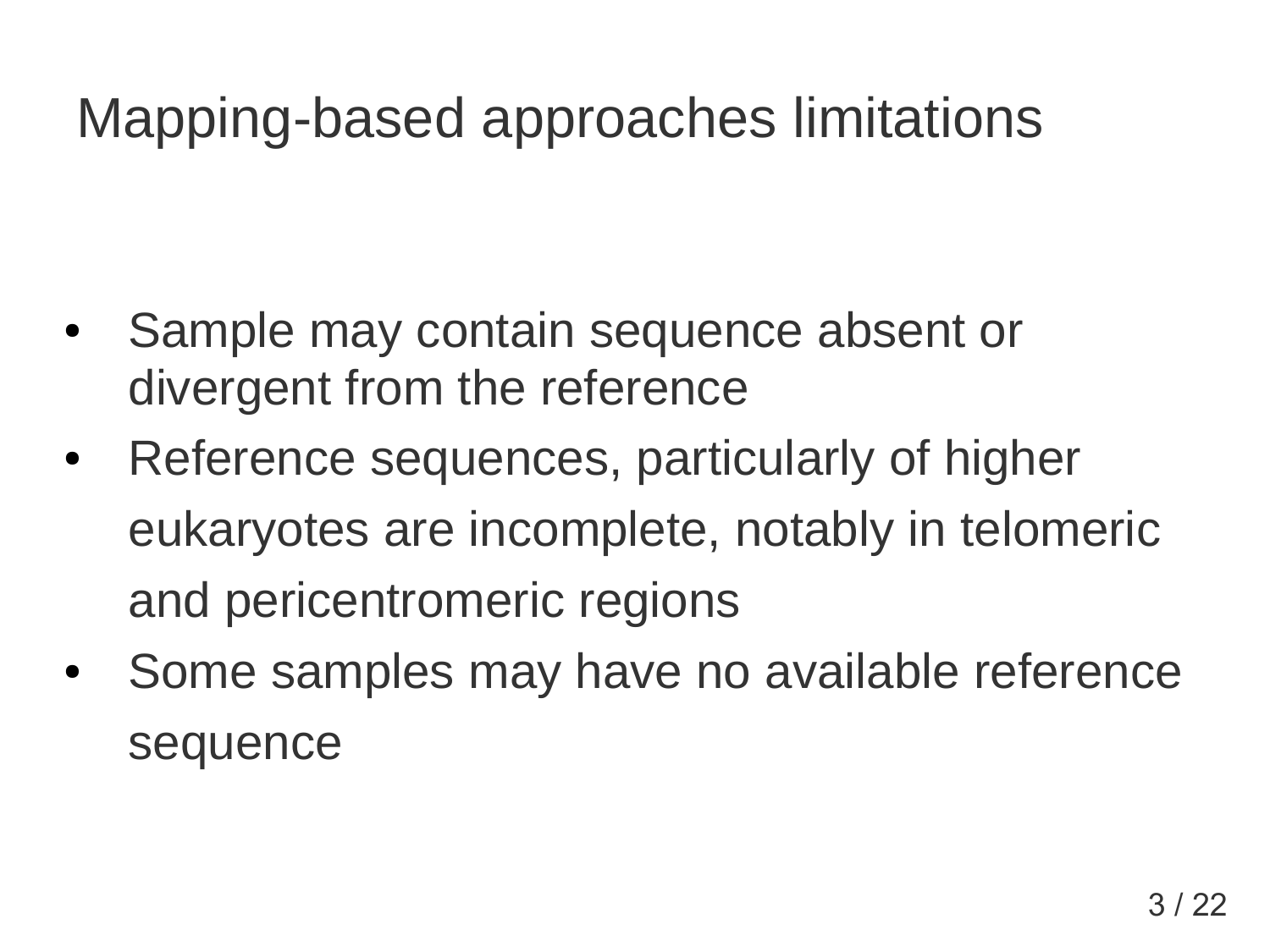#### Mapping-based approaches limitations

- Sample may contain sequence absent or divergent from the reference
- Reference sequences, particularly of higher eukaryotes are incomplete, notably in telomeric and pericentromeric regions
- Some samples may have no available reference sequence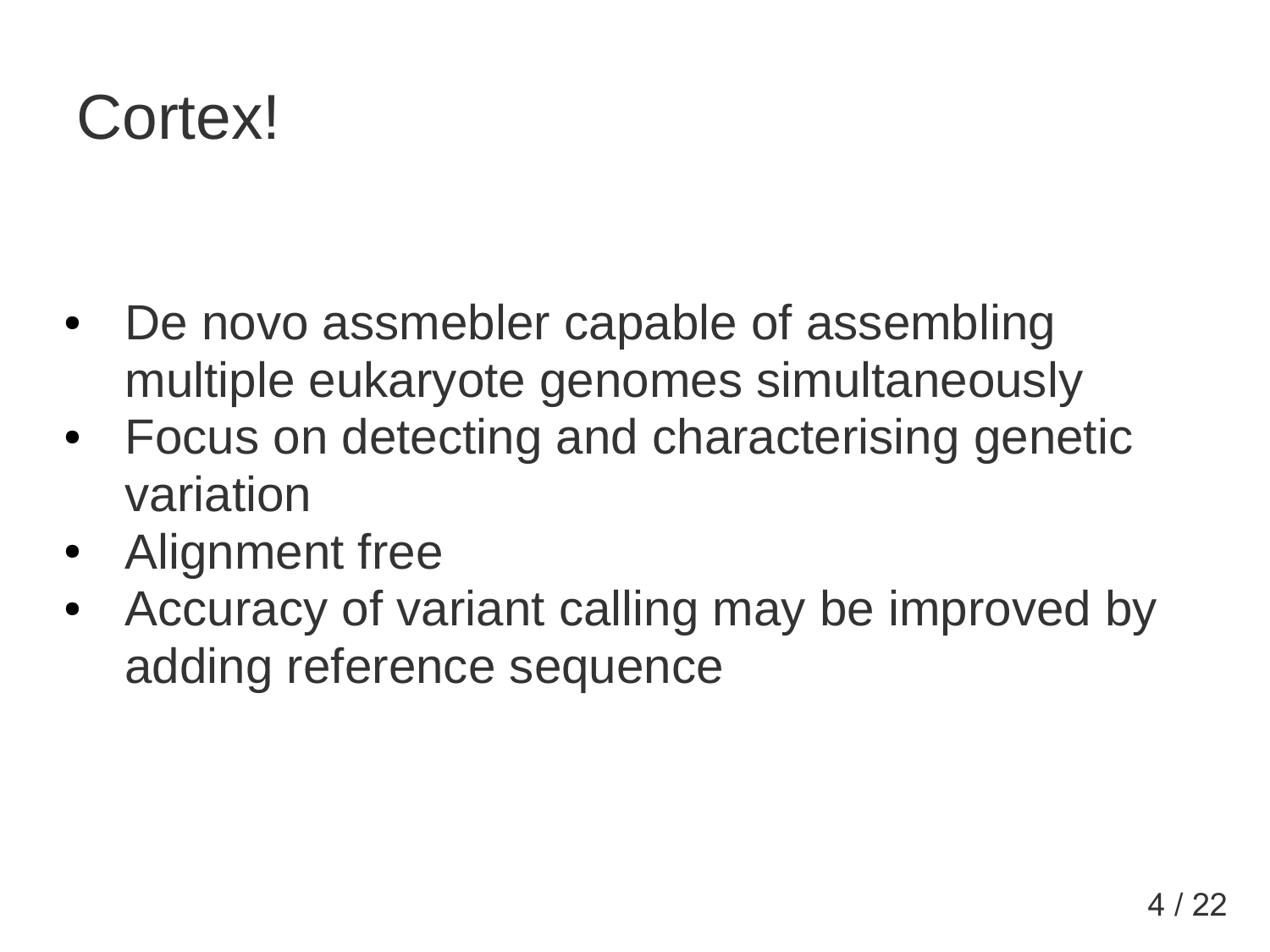### Cortex!

- De novo assmebler capable of assembling multiple eukaryote genomes simultaneously
- Focus on detecting and characterising genetic variation
- Alignment free
- Accuracy of variant calling may be improved by adding reference sequence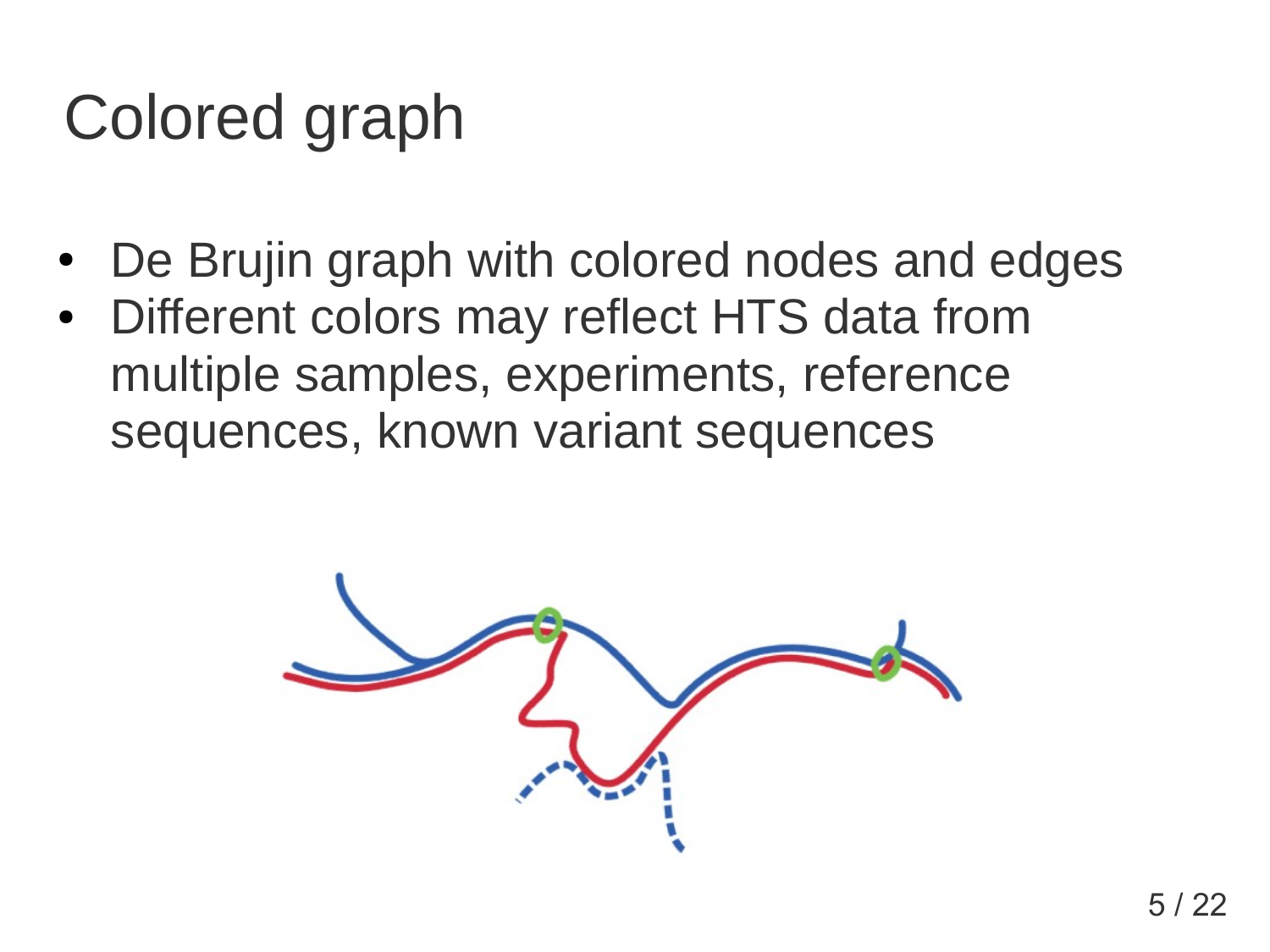## Colored graph

- De Brujin graph with colored nodes and edges
- Different colors may reflect HTS data from multiple samples, experiments, reference sequences, known variant sequences

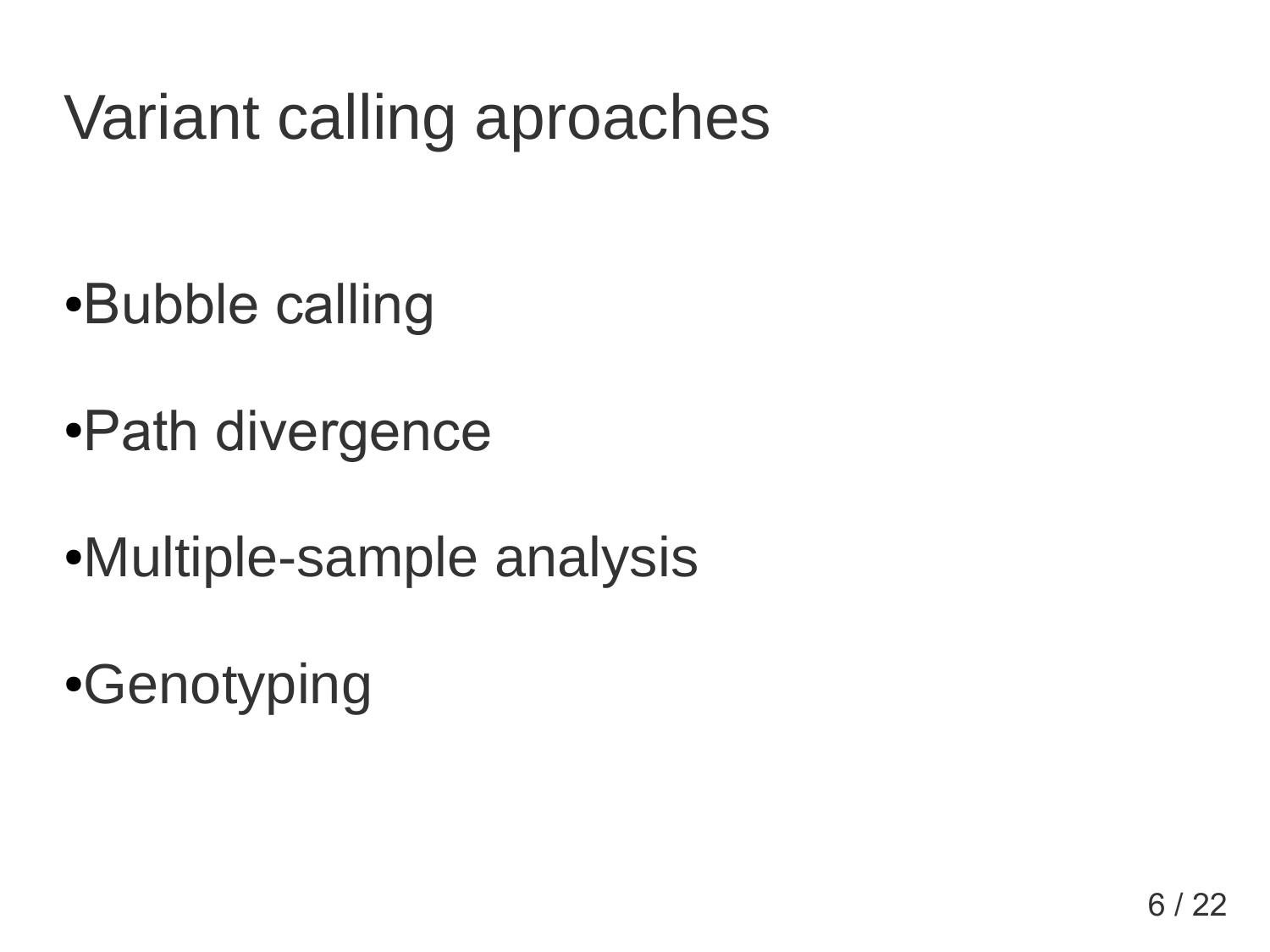# Variant calling aproaches

- ●Bubble calling
- •Path divergence
- Multiple-sample analysis
- •Genotyping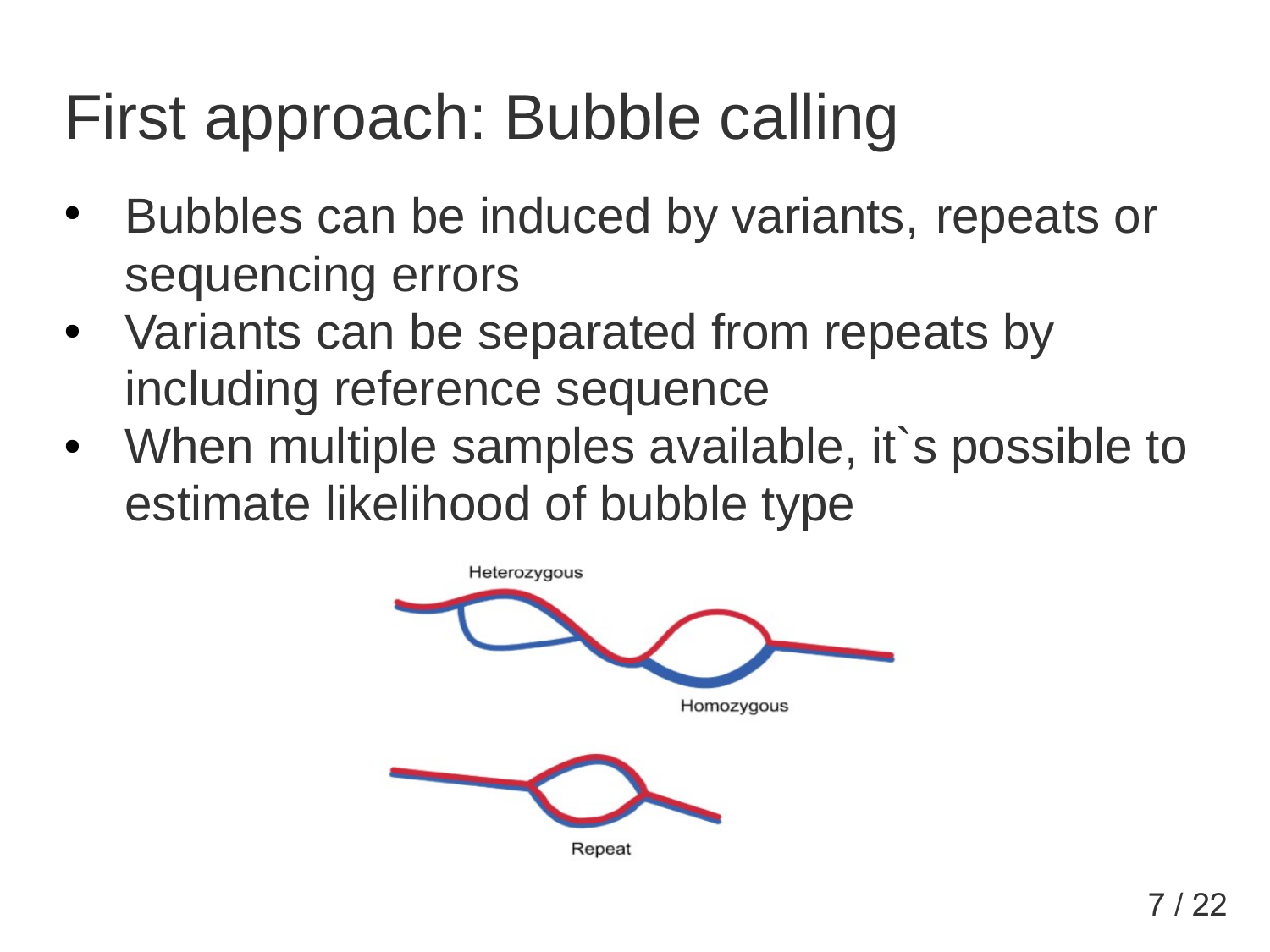# First approach: Bubble calling

- Bubbles can be induced by variants, repeats or sequencing errors
- Variants can be separated from repeats by including reference sequence
- When multiple samples available, it's possible to estimate likelihood of bubble type

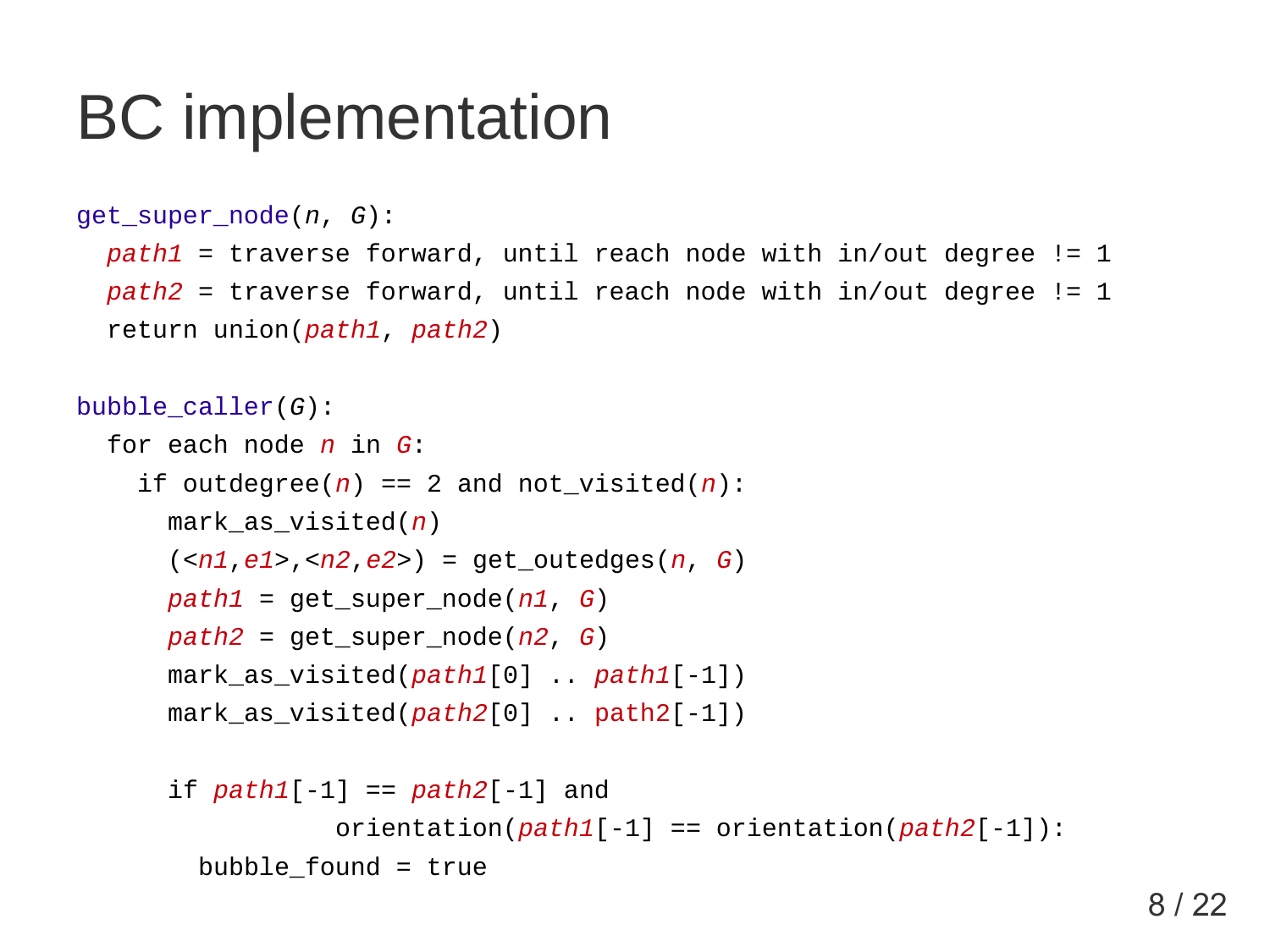### BC implementation

```
get_super_node(n, G):
```
 *path1* = traverse forward, until reach node with in/out degree != 1 *path2* = traverse forward, until reach node with in/out degree != 1 return union(*path1*, *path2*)

```
bubble_caller(G):
for each node n in G:
 if outdegree(n) == 2 and not visited(n):
    mark_as_visited(n)
    (<n1,e1>,<n2,e2>) = get_outedges(n, G)
   path1 = get super node(n1, G)
    path2 = get_super_node(n2, G)
    mark_as_visited(path1[0] .. path1[-1])
    mark_as_visited(path2[0] .. path2[-1])
    if path1[-1] == path2[-1] and 
               orientation(path1[-1] == orientation(path2[-1]):
     bubble found = true
```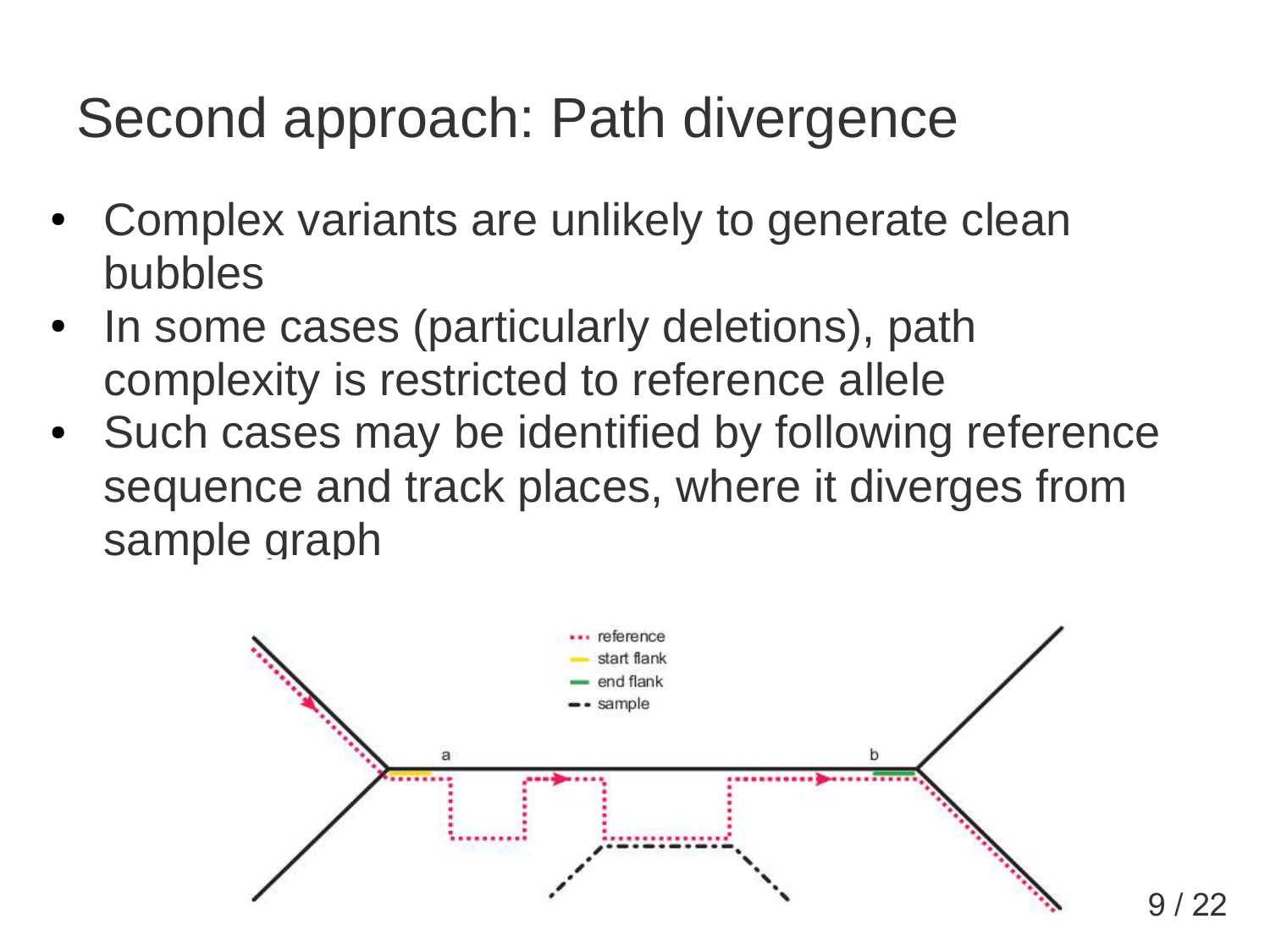#### Second approach: Path divergence

- Complex variants are unlikely to generate clean bubbles
- In some cases (particularly deletions), path complexity is restricted to reference allele
- Such cases may be identified by following reference sequence and track places, where it diverges from sample graph

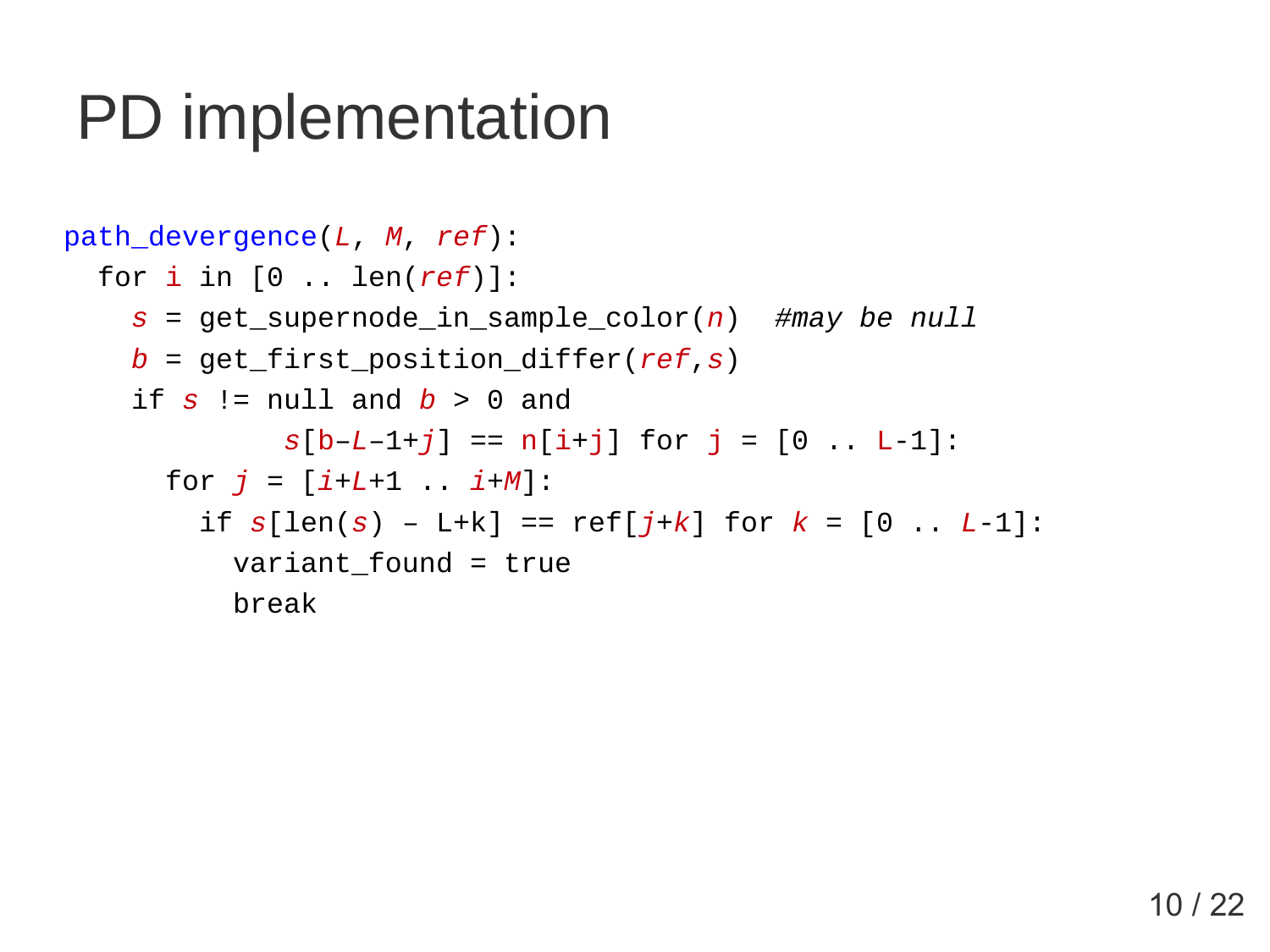### PD implementation

```
path_devergence(L, M, ref):
for i in [0 .. len(ref)]:
  s = get_supernode_in_sample_color(n) #may be null
  b = get_first_position_differ(ref,s)
 if s != null and b > 0 and
          s[b-L-1+j] == n[i+j] for j = [0 ... L-1]:
   for j = [i+L+1 i+M]:
      if s[len(s) – L+k] == ref[j+k] for k = [0 .. L-1]:
       variant found = true
        break
```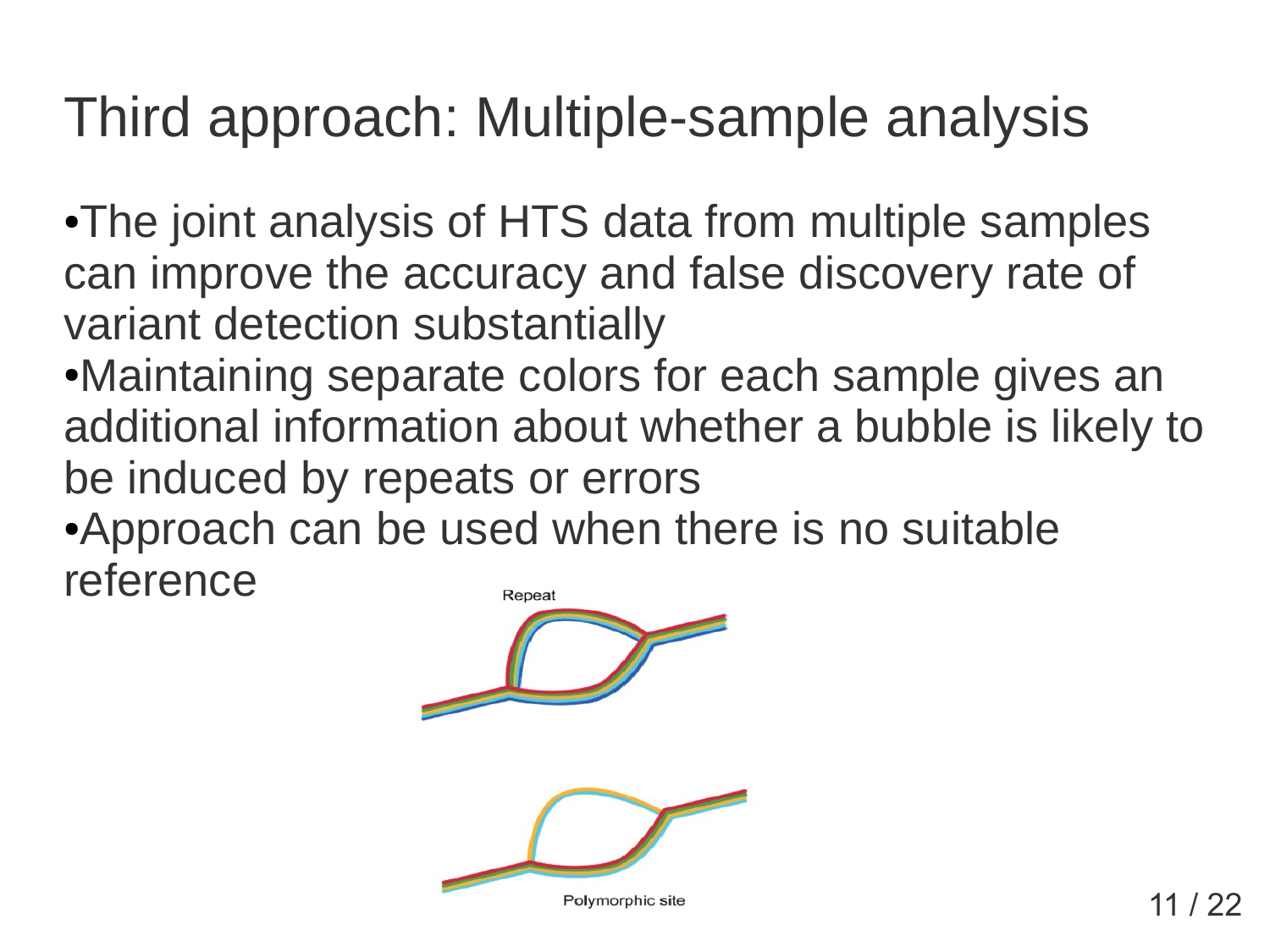#### Third approach: Multiple-sample analysis

•The joint analysis of HTS data from multiple samples can improve the accuracy and false discovery rate of variant detection substantially

- ●Maintaining separate colors for each sample gives an additional information about whether a bubble is likely to be induced by repeats or errors
- •Approach can be used when there is no suitable reference Repeat

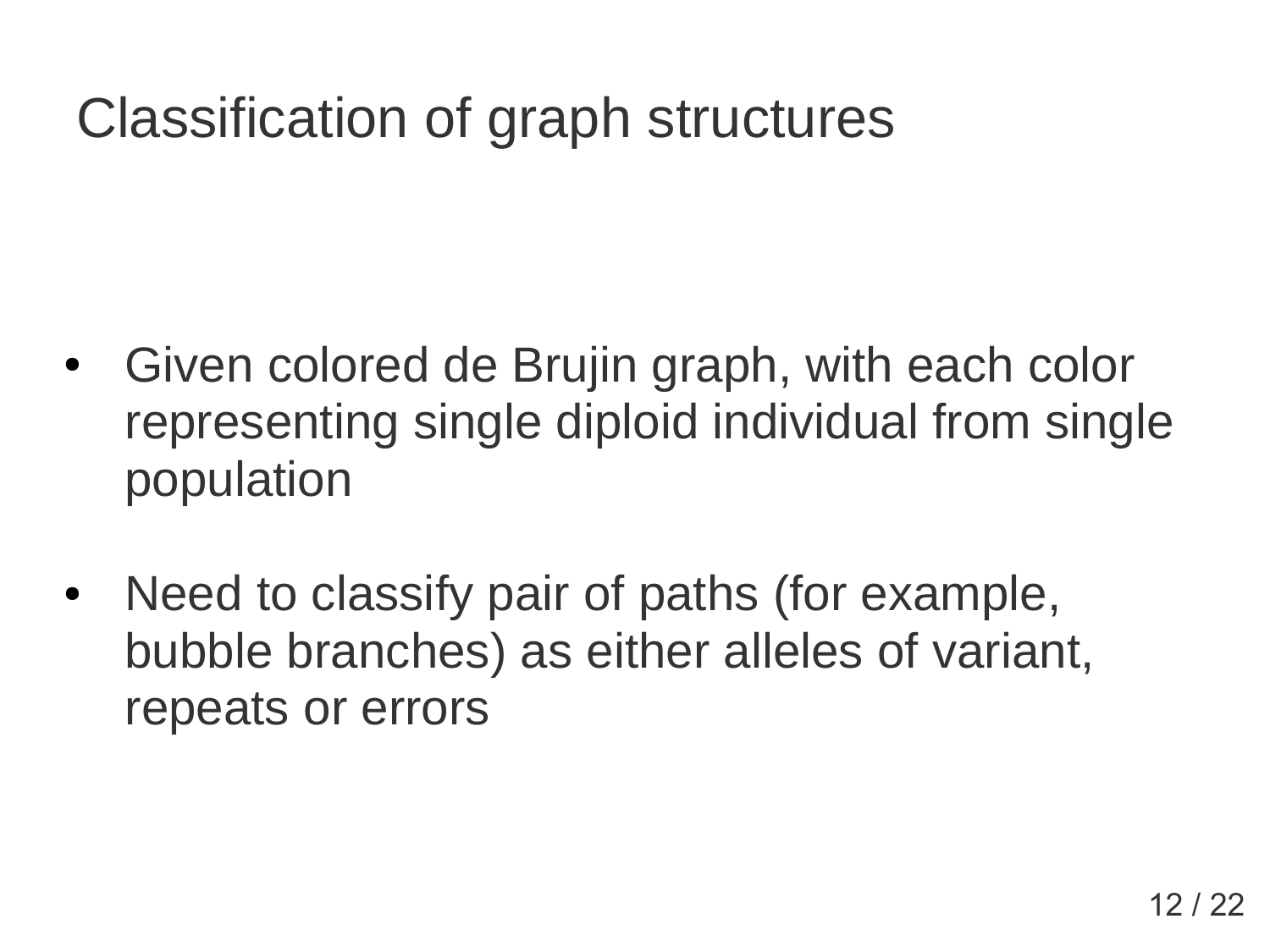#### Classification of graph structures

- Given colored de Brujin graph, with each color representing single diploid individual from single population
- Need to classify pair of paths (for example, bubble branches) as either alleles of variant, repeats or errors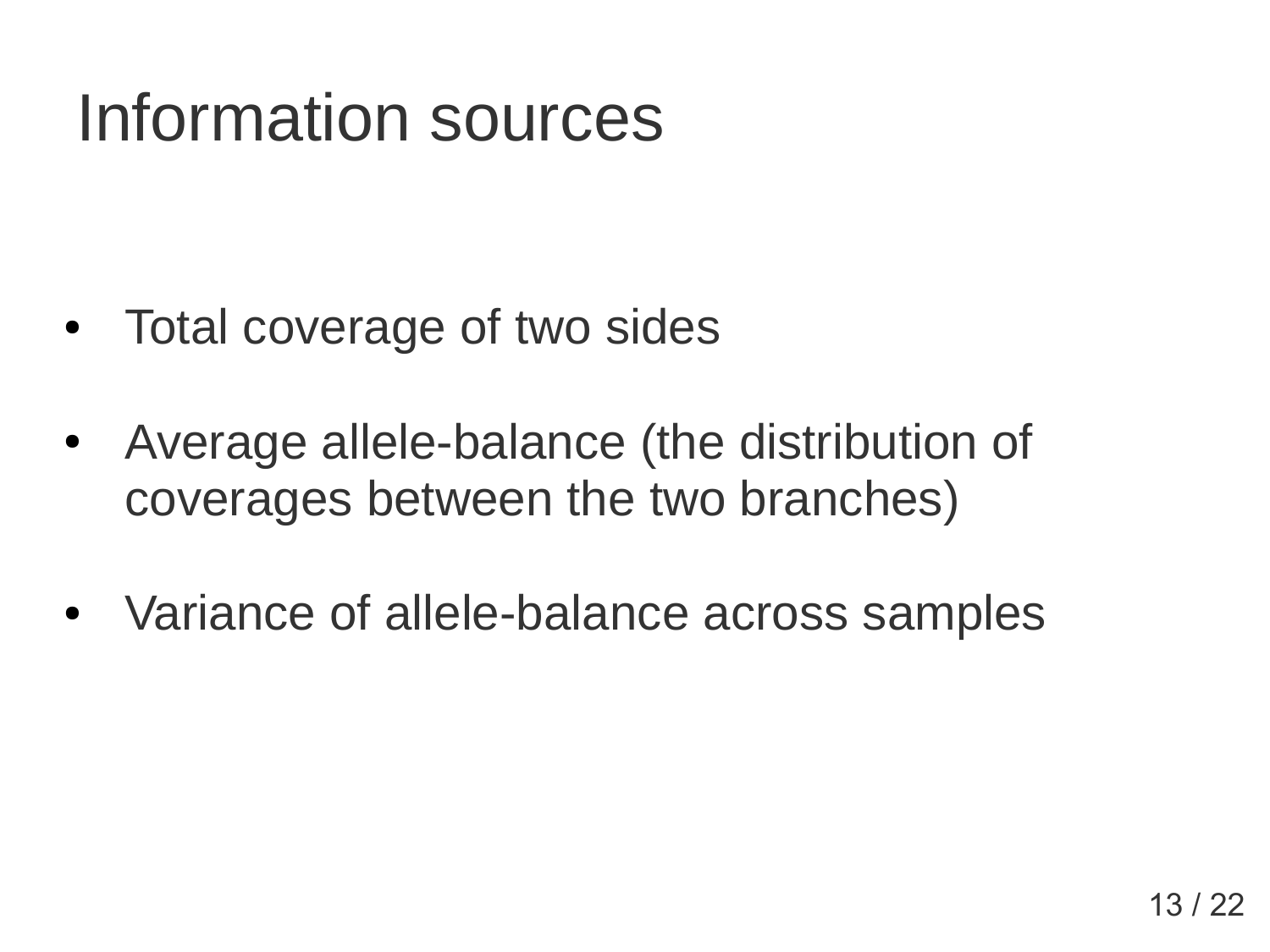## Information sources

- Total coverage of two sides
- Average allele-balance (the distribution of coverages between the two branches)
- Variance of allele-balance across samples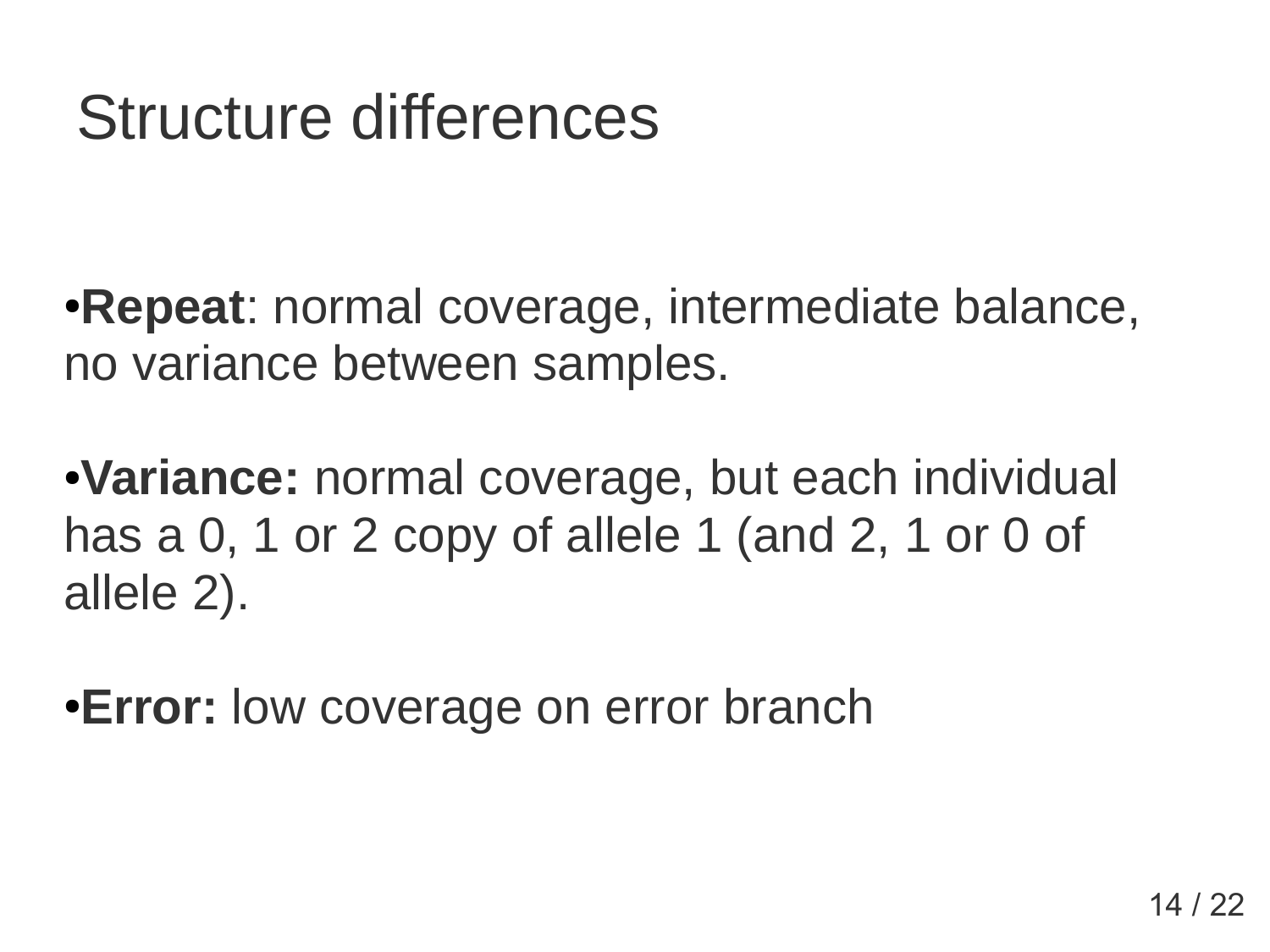### Structure differences

•**Repeat**: normal coverage, intermediate balance, no variance between samples.

●**Variance:** normal coverage, but each individual has a 0, 1 or 2 copy of allele 1 (and 2, 1 or 0 of allele 2).

**• Error:** low coverage on error branch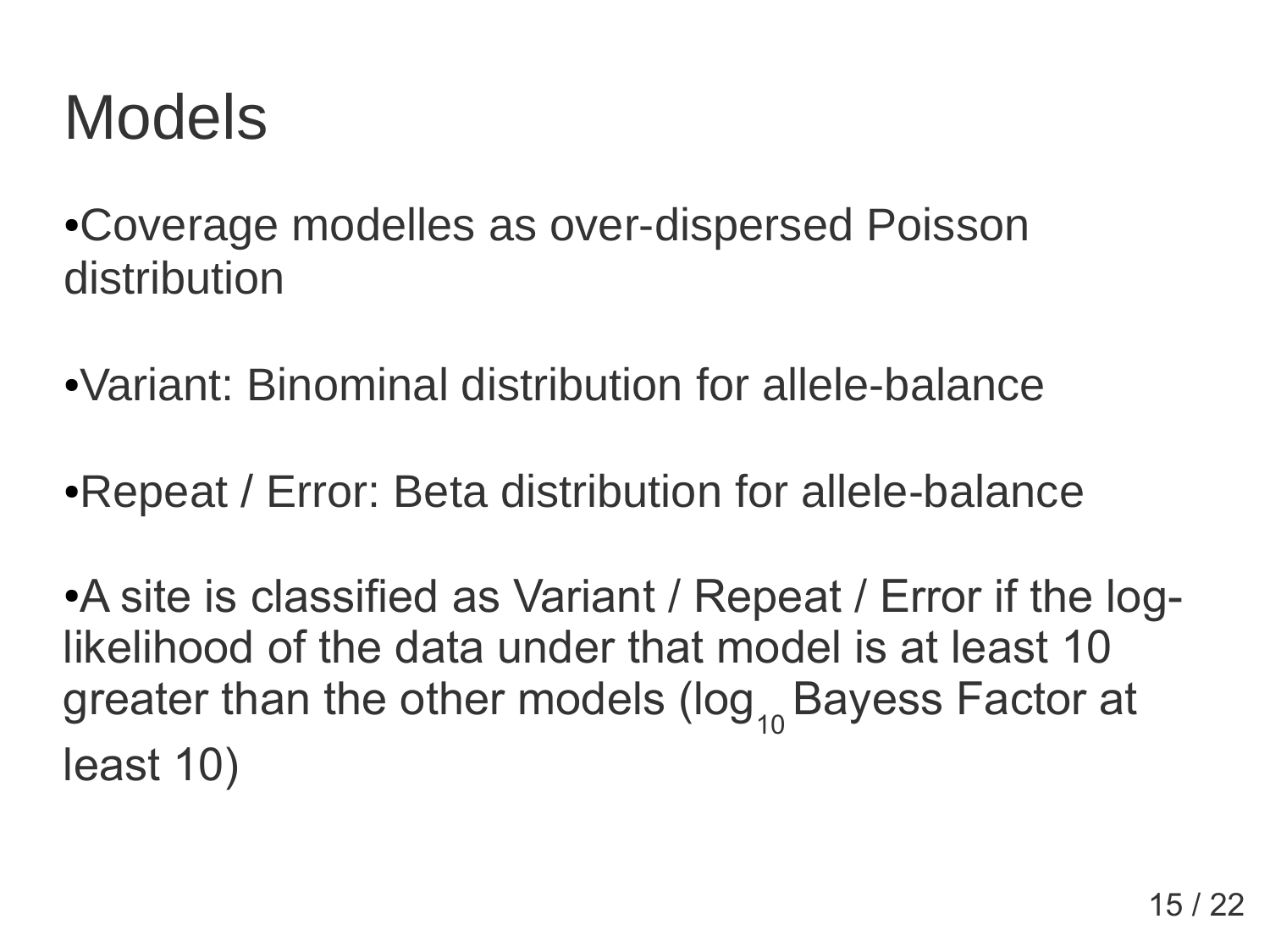### Models

• Coverage modelles as over-dispersed Poisson distribution

●Variant: Binominal distribution for allele-balance

• Repeat / Error: Beta distribution for allele-balance

• A site is classified as Variant / Repeat / Error if the loglikelihood of the data under that model is at least 10 greater than the other models (log 10 Bayess Factor at least 10)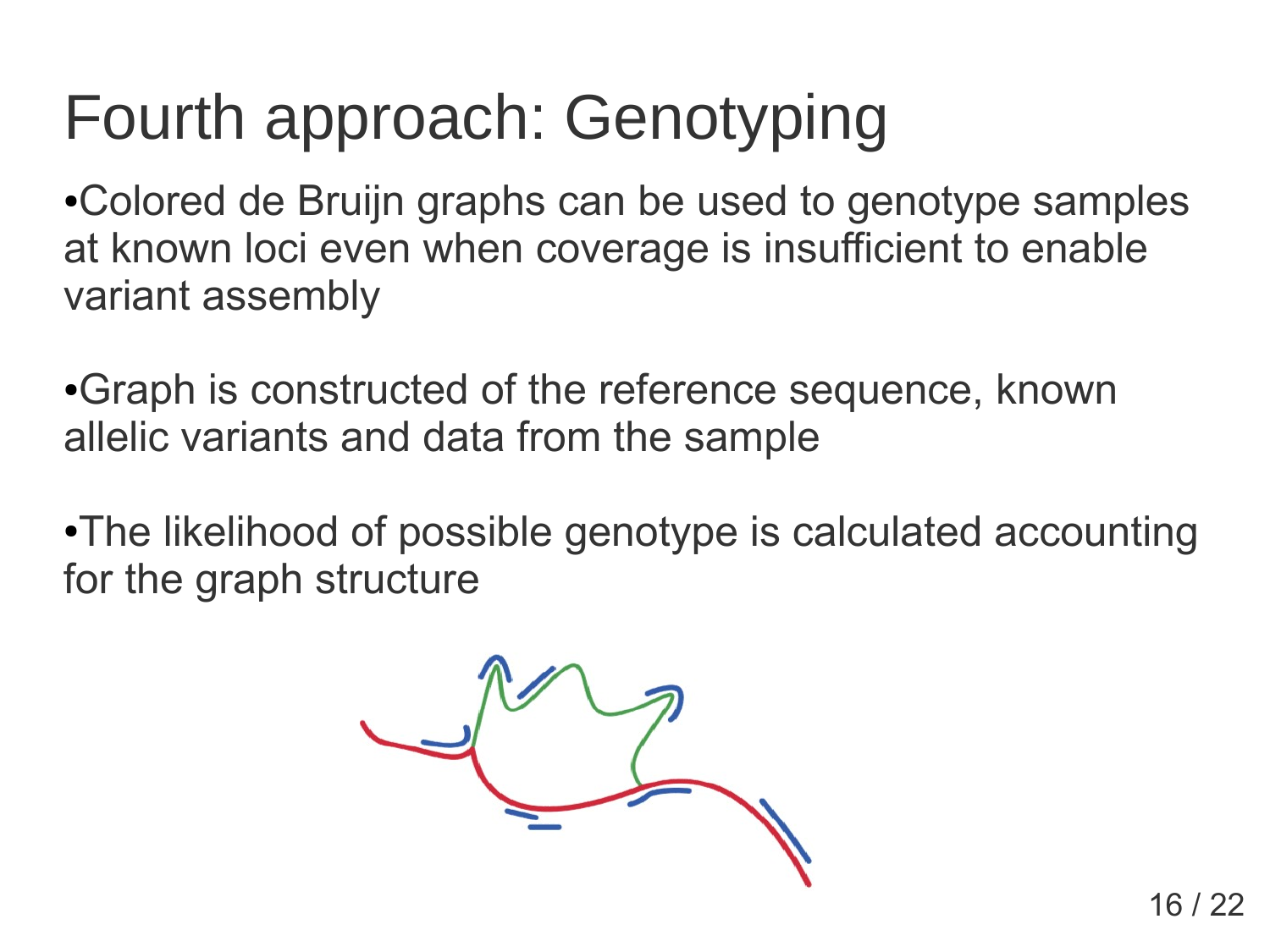# Fourth approach: Genotyping

• Colored de Bruijn graphs can be used to genotype samples at known loci even when coverage is insufficient to enable variant assembly

• Graph is constructed of the reference sequence, known allelic variants and data from the sample

•The likelihood of possible genotype is calculated accounting for the graph structure

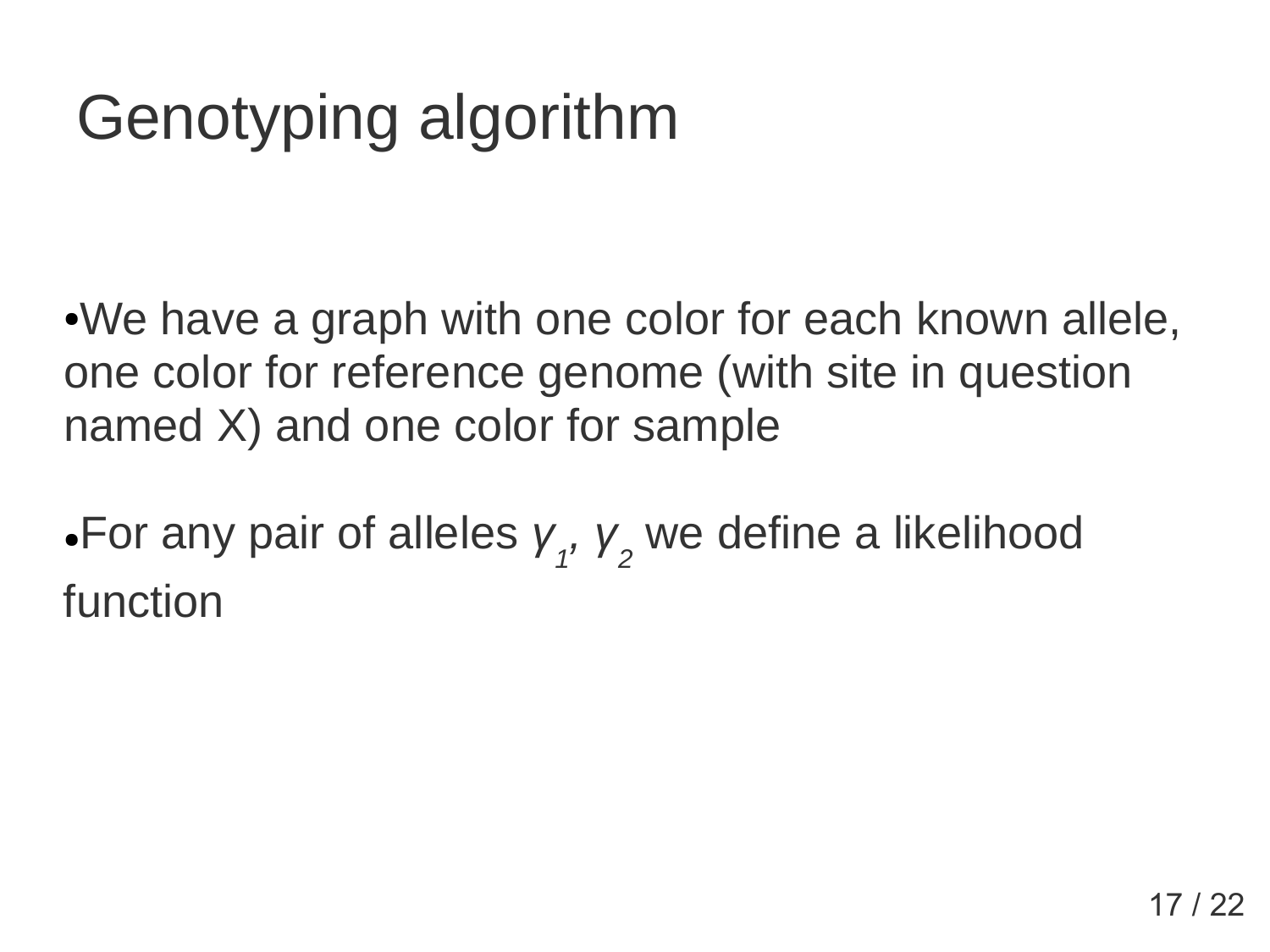# Genotyping algorithm

•We have a graph with one color for each known allele, one color for reference genome (with site in question named X) and one color for sample

•For any pair of alleles *y 1 , γ 2* we define a likelihood function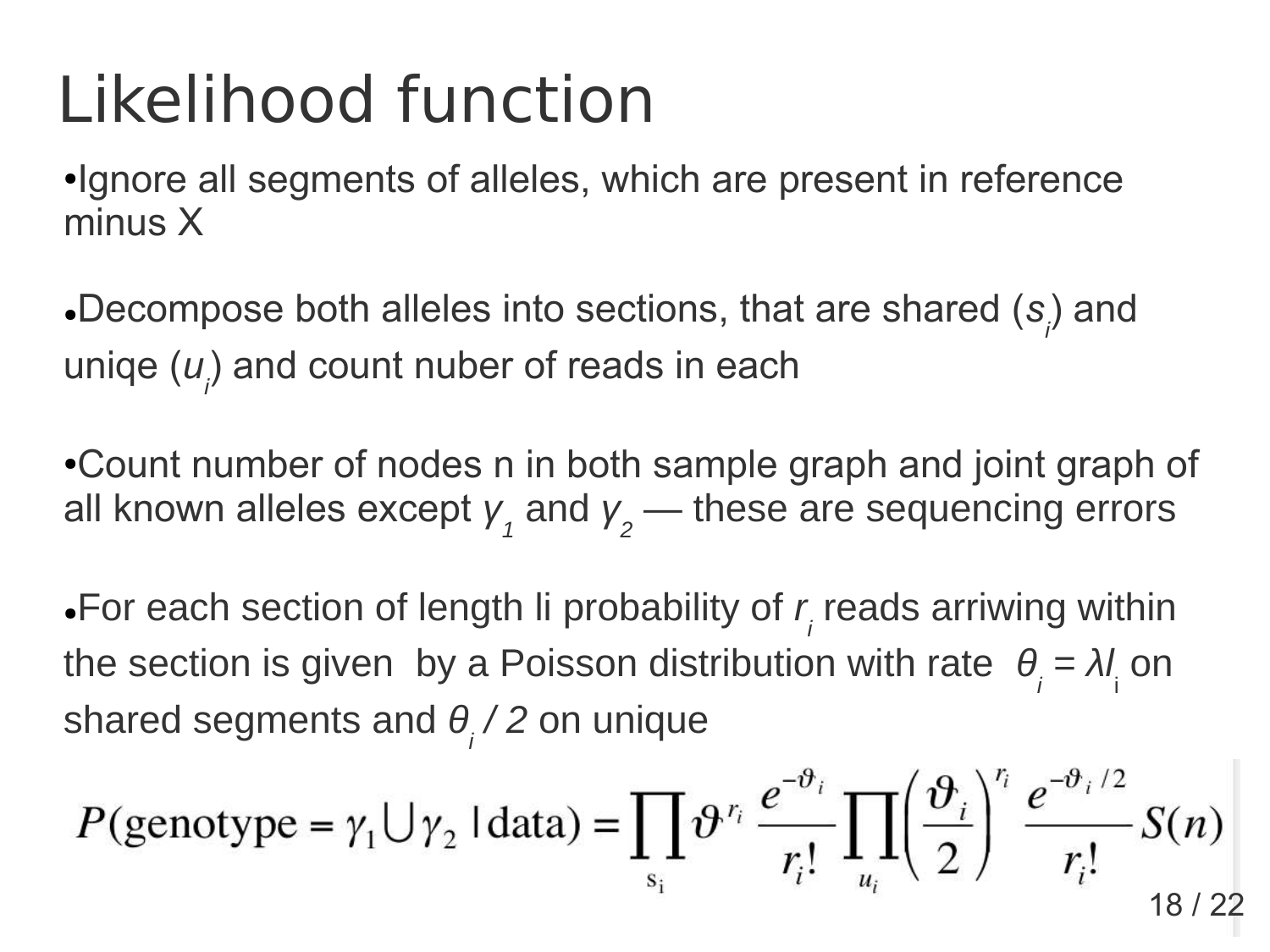# Likelihood function

●Ignore all segments of alleles, which are present in reference minus X

Decompose both alleles into sections, that are shared (s<sub>i</sub>) and uniqe (*u*<sub>i</sub>) and count nuber of reads in each

• Count number of nodes n in both sample graph and joint graph of all known alleles except  $\boldsymbol{\mathsf{y}}_{_{1}}$  and  $\boldsymbol{\mathsf{y}}_{_{2}}$  — these are sequencing errors

 $\bullet$  For each section of length li probability of  $r_{\scriptscriptstyle\!f}$  reads arriwing within the section is given by a Poisson distribution with rate  $\theta_i = \lambda l_i$  on shared segments and *θ i / 2* on unique

$$
P(\text{genotype} = \gamma_1 \cup \gamma_2 \mid \text{data}) = \prod_{s_i} \vartheta^{r_i} \frac{e^{-\vartheta_i}}{r_i!} \prod_{u_i} \left(\frac{\vartheta_i}{2}\right)^{r_i} \frac{e^{-\vartheta_i/2}}{r_i!} S(n)
$$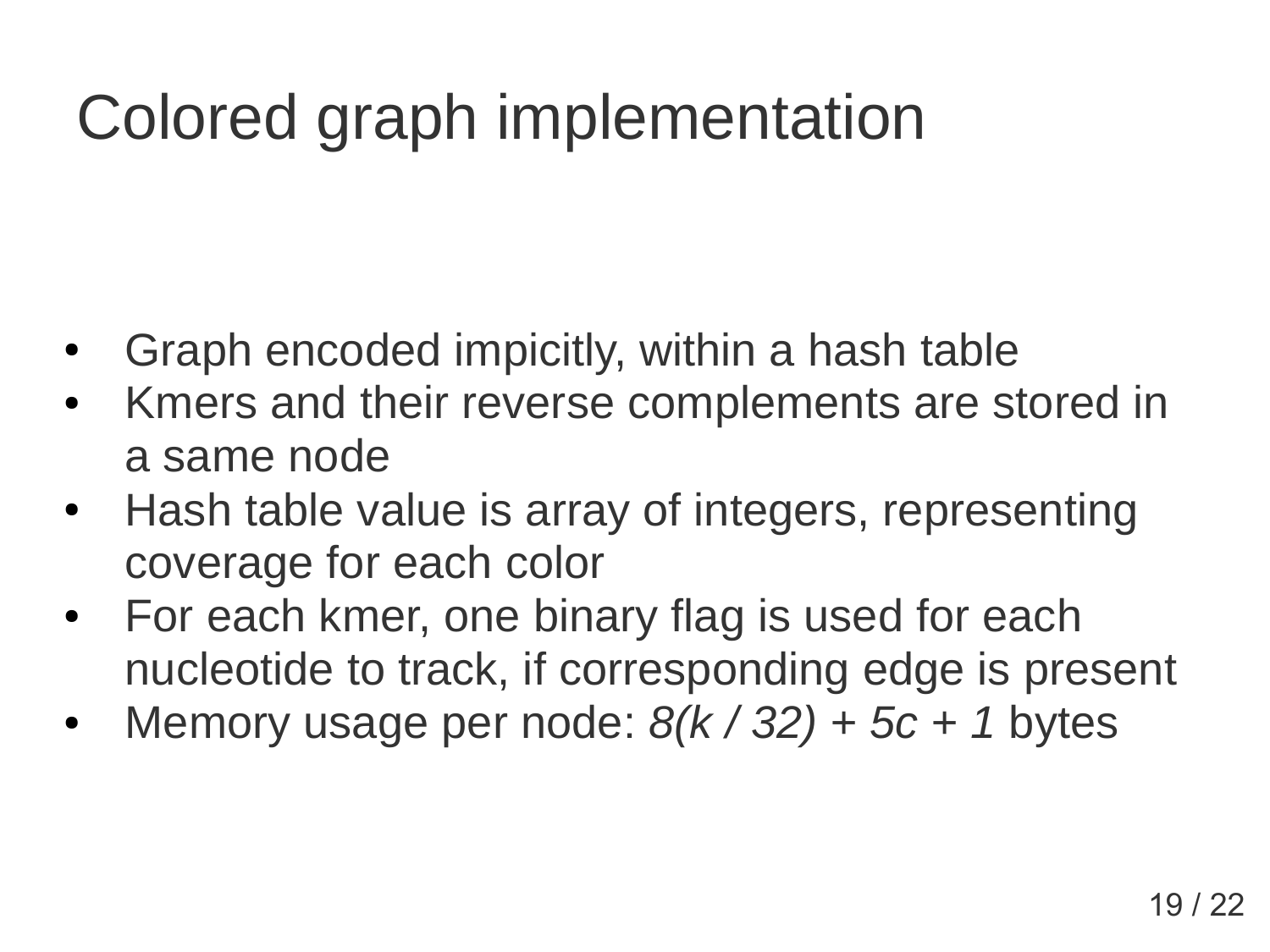# Colored graph implementation

- Graph encoded impicitly, within a hash table
- Kmers and their reverse complements are stored in a same node
- Hash table value is array of integers, representing coverage for each color
- For each kmer, one binary flag is used for each nucleotide to track, if corresponding edge is present
- Memory usage per node:  $8(k / 32) + 5c + 1$  bytes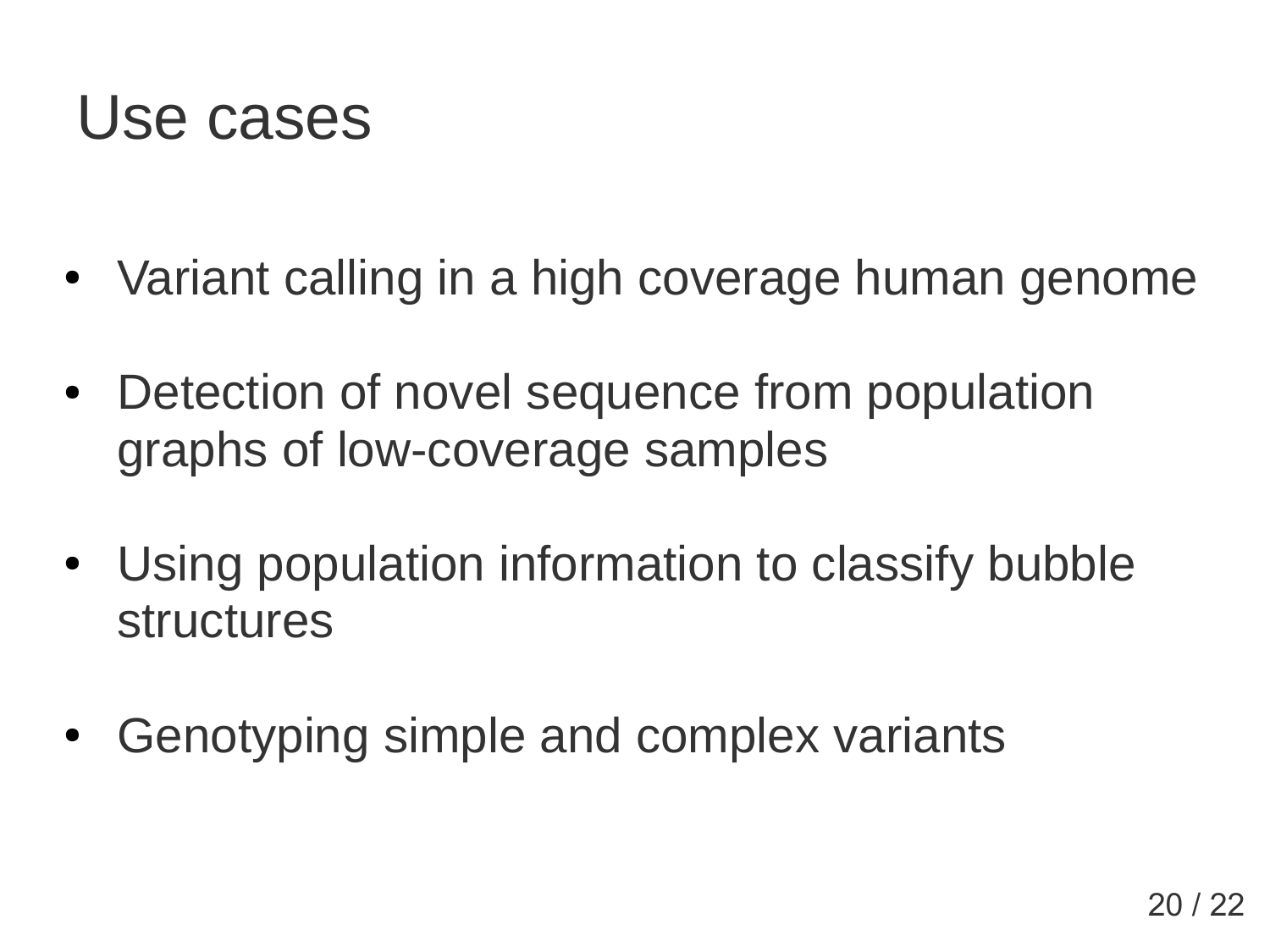#### Use cases

- Variant calling in a high coverage human genome
- Detection of novel sequence from population graphs of low-coverage samples
- Using population information to classify bubble structures
- Genotyping simple and complex variants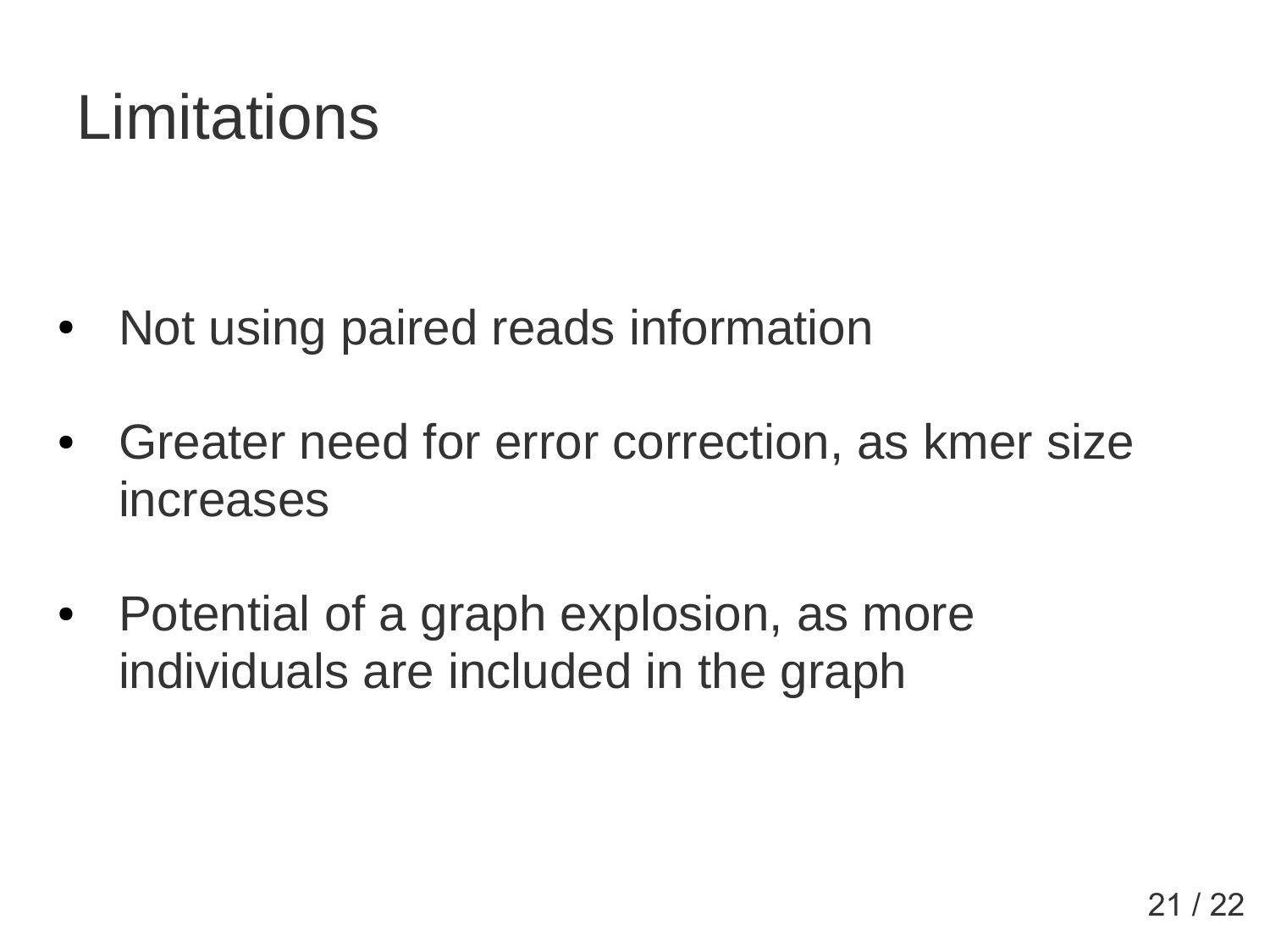# **Limitations**

- Not using paired reads information
- Greater need for error correction, as kmer size increases
- Potential of a graph explosion, as more individuals are included in the graph